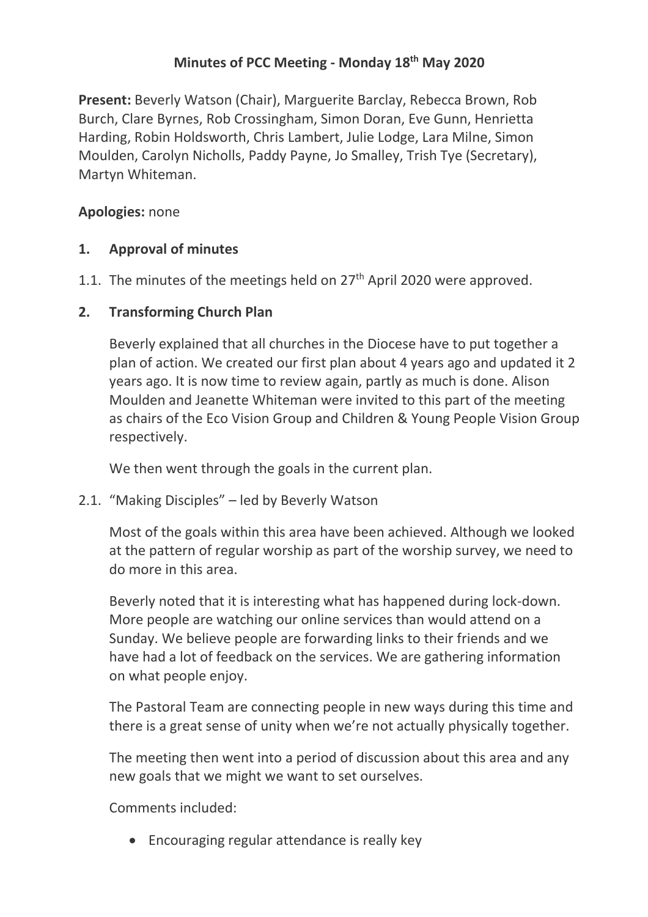# **Minutes of PCC Meeting - Monday 18th May 2020**

**Present:** Beverly Watson (Chair), Marguerite Barclay, Rebecca Brown, Rob Burch, Clare Byrnes, Rob Crossingham, Simon Doran, Eve Gunn, Henrietta Harding, Robin Holdsworth, Chris Lambert, Julie Lodge, Lara Milne, Simon Moulden, Carolyn Nicholls, Paddy Payne, Jo Smalley, Trish Tye (Secretary), Martyn Whiteman.

## **Apologies:** none

# **1. Approval of minutes**

1.1. The minutes of the meetings held on 27<sup>th</sup> April 2020 were approved.

# **2. Transforming Church Plan**

Beverly explained that all churches in the Diocese have to put together a plan of action. We created our first plan about 4 years ago and updated it 2 years ago. It is now time to review again, partly as much is done. Alison Moulden and Jeanette Whiteman were invited to this part of the meeting as chairs of the Eco Vision Group and Children & Young People Vision Group respectively.

We then went through the goals in the current plan.

2.1. "Making Disciples" – led by Beverly Watson

Most of the goals within this area have been achieved. Although we looked at the pattern of regular worship as part of the worship survey, we need to do more in this area.

Beverly noted that it is interesting what has happened during lock-down. More people are watching our online services than would attend on a Sunday. We believe people are forwarding links to their friends and we have had a lot of feedback on the services. We are gathering information on what people enjoy.

The Pastoral Team are connecting people in new ways during this time and there is a great sense of unity when we're not actually physically together.

The meeting then went into a period of discussion about this area and any new goals that we might we want to set ourselves.

Comments included:

• Encouraging regular attendance is really key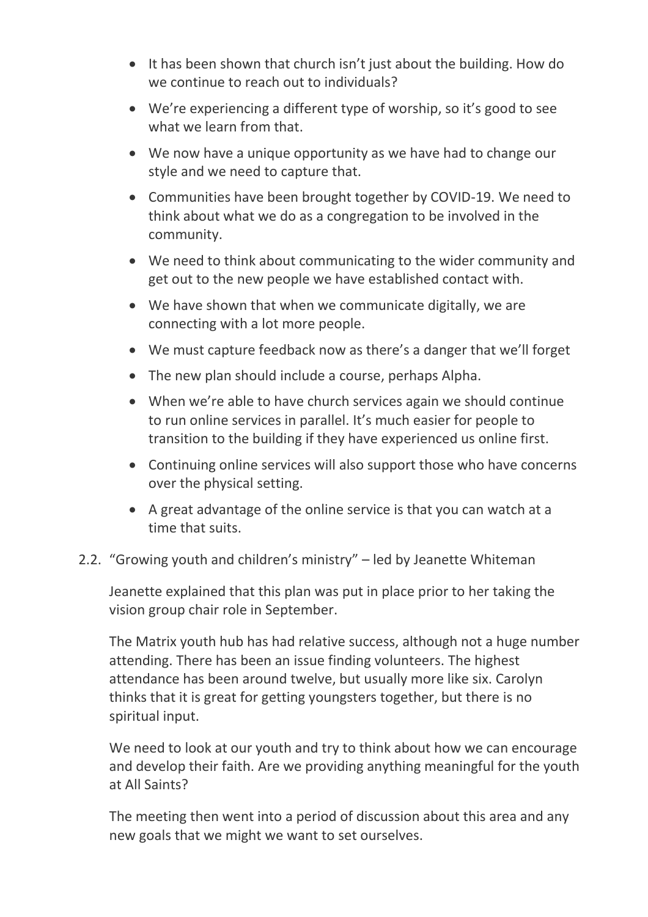- It has been shown that church isn't just about the building. How do we continue to reach out to individuals?
- We're experiencing a different type of worship, so it's good to see what we learn from that.
- We now have a unique opportunity as we have had to change our style and we need to capture that.
- Communities have been brought together by COVID-19. We need to think about what we do as a congregation to be involved in the community.
- We need to think about communicating to the wider community and get out to the new people we have established contact with.
- We have shown that when we communicate digitally, we are connecting with a lot more people.
- We must capture feedback now as there's a danger that we'll forget
- The new plan should include a course, perhaps Alpha.
- When we're able to have church services again we should continue to run online services in parallel. It's much easier for people to transition to the building if they have experienced us online first.
- Continuing online services will also support those who have concerns over the physical setting.
- A great advantage of the online service is that you can watch at a time that suits.

### 2.2. "Growing youth and children's ministry" – led by Jeanette Whiteman

Jeanette explained that this plan was put in place prior to her taking the vision group chair role in September.

The Matrix youth hub has had relative success, although not a huge number attending. There has been an issue finding volunteers. The highest attendance has been around twelve, but usually more like six. Carolyn thinks that it is great for getting youngsters together, but there is no spiritual input.

We need to look at our youth and try to think about how we can encourage and develop their faith. Are we providing anything meaningful for the youth at All Saints?

The meeting then went into a period of discussion about this area and any new goals that we might we want to set ourselves.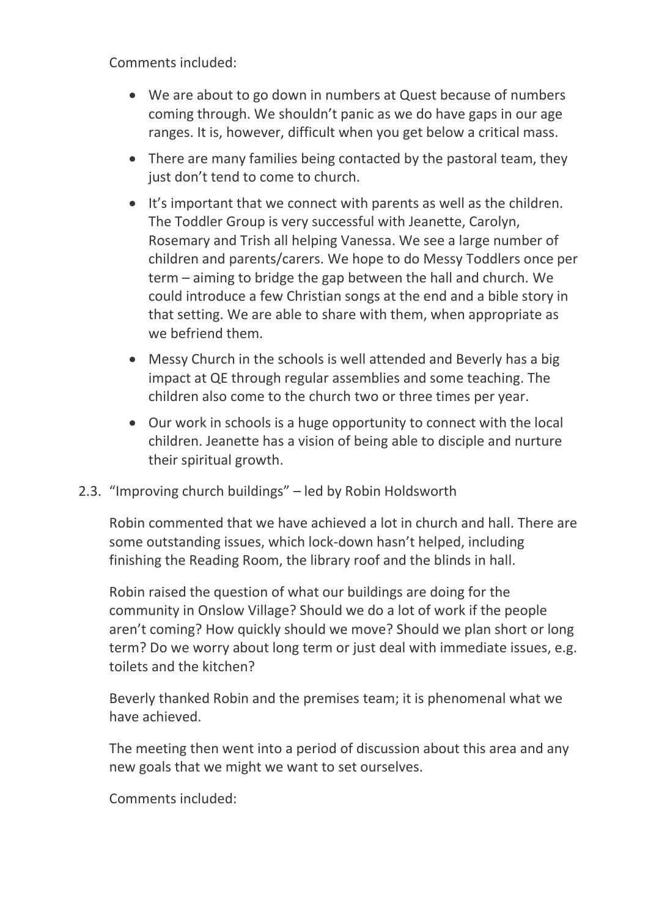Comments included:

- We are about to go down in numbers at Quest because of numbers coming through. We shouldn't panic as we do have gaps in our age ranges. It is, however, difficult when you get below a critical mass.
- There are many families being contacted by the pastoral team, they just don't tend to come to church.
- It's important that we connect with parents as well as the children. The Toddler Group is very successful with Jeanette, Carolyn, Rosemary and Trish all helping Vanessa. We see a large number of children and parents/carers. We hope to do Messy Toddlers once per term – aiming to bridge the gap between the hall and church. We could introduce a few Christian songs at the end and a bible story in that setting. We are able to share with them, when appropriate as we befriend them.
- Messy Church in the schools is well attended and Beverly has a big impact at QE through regular assemblies and some teaching. The children also come to the church two or three times per year.
- Our work in schools is a huge opportunity to connect with the local children. Jeanette has a vision of being able to disciple and nurture their spiritual growth.
- 2.3. "Improving church buildings" led by Robin Holdsworth

Robin commented that we have achieved a lot in church and hall. There are some outstanding issues, which lock-down hasn't helped, including finishing the Reading Room, the library roof and the blinds in hall.

Robin raised the question of what our buildings are doing for the community in Onslow Village? Should we do a lot of work if the people aren't coming? How quickly should we move? Should we plan short or long term? Do we worry about long term or just deal with immediate issues, e.g. toilets and the kitchen?

Beverly thanked Robin and the premises team; it is phenomenal what we have achieved.

The meeting then went into a period of discussion about this area and any new goals that we might we want to set ourselves.

Comments included: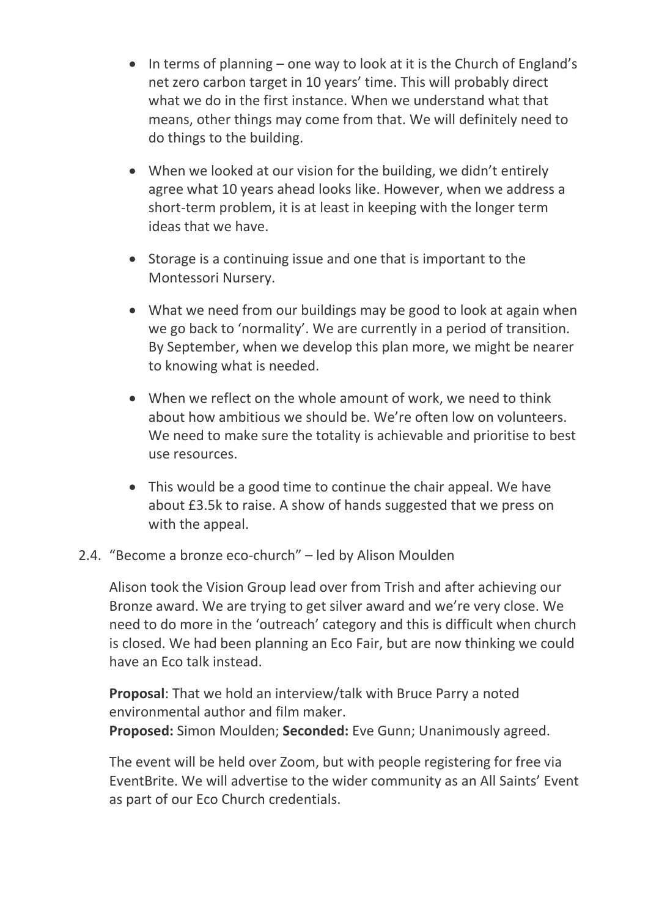- In terms of planning one way to look at it is the Church of England's net zero carbon target in 10 years' time. This will probably direct what we do in the first instance. When we understand what that means, other things may come from that. We will definitely need to do things to the building.
- When we looked at our vision for the building, we didn't entirely agree what 10 years ahead looks like. However, when we address a short-term problem, it is at least in keeping with the longer term ideas that we have.
- Storage is a continuing issue and one that is important to the Montessori Nursery.
- What we need from our buildings may be good to look at again when we go back to 'normality'. We are currently in a period of transition. By September, when we develop this plan more, we might be nearer to knowing what is needed.
- When we reflect on the whole amount of work, we need to think about how ambitious we should be. We're often low on volunteers. We need to make sure the totality is achievable and prioritise to best use resources.
- This would be a good time to continue the chair appeal. We have about £3.5k to raise. A show of hands suggested that we press on with the appeal.

### 2.4. "Become a bronze eco-church" – led by Alison Moulden

Alison took the Vision Group lead over from Trish and after achieving our Bronze award. We are trying to get silver award and we're very close. We need to do more in the 'outreach' category and this is difficult when church is closed. We had been planning an Eco Fair, but are now thinking we could have an Eco talk instead.

**Proposal**: That we hold an interview/talk with Bruce Parry a noted environmental author and film maker. **Proposed:** Simon Moulden; **Seconded:** Eve Gunn; Unanimously agreed.

The event will be held over Zoom, but with people registering for free via EventBrite. We will advertise to the wider community as an All Saints' Event as part of our Eco Church credentials.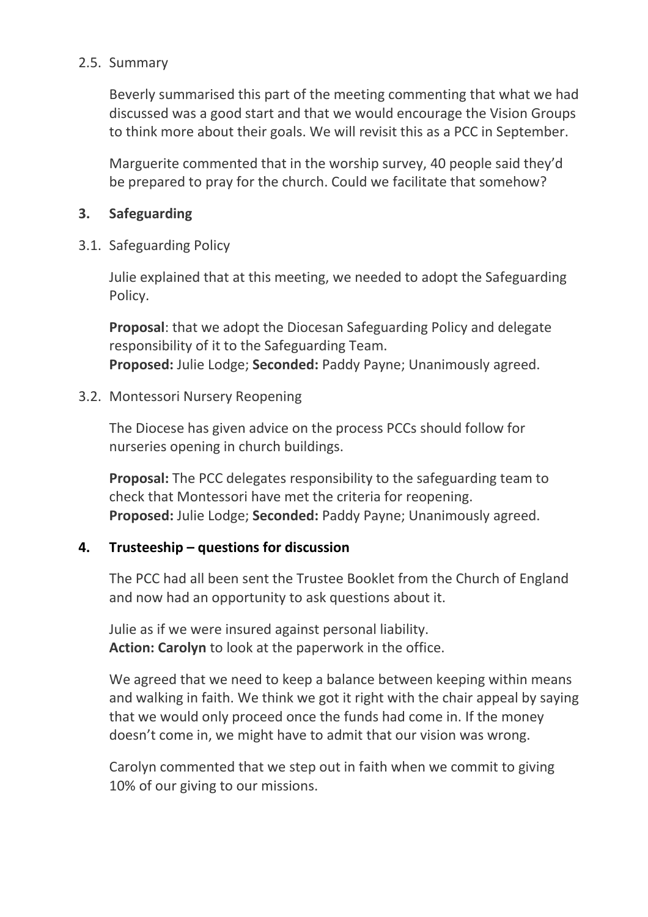### 2.5. Summary

Beverly summarised this part of the meeting commenting that what we had discussed was a good start and that we would encourage the Vision Groups to think more about their goals. We will revisit this as a PCC in September.

Marguerite commented that in the worship survey, 40 people said they'd be prepared to pray for the church. Could we facilitate that somehow?

#### **3. Safeguarding**

3.1. Safeguarding Policy

Julie explained that at this meeting, we needed to adopt the Safeguarding Policy.

**Proposal**: that we adopt the Diocesan Safeguarding Policy and delegate responsibility of it to the Safeguarding Team. **Proposed:** Julie Lodge; **Seconded:** Paddy Payne; Unanimously agreed.

#### 3.2. Montessori Nursery Reopening

The Diocese has given advice on the process PCCs should follow for nurseries opening in church buildings.

**Proposal:** The PCC delegates responsibility to the safeguarding team to check that Montessori have met the criteria for reopening. **Proposed:** Julie Lodge; **Seconded:** Paddy Payne; Unanimously agreed.

### **4. Trusteeship – questions for discussion**

The PCC had all been sent the Trustee Booklet from the Church of England and now had an opportunity to ask questions about it.

Julie as if we were insured against personal liability. **Action: Carolyn** to look at the paperwork in the office.

We agreed that we need to keep a balance between keeping within means and walking in faith. We think we got it right with the chair appeal by saying that we would only proceed once the funds had come in. If the money doesn't come in, we might have to admit that our vision was wrong.

Carolyn commented that we step out in faith when we commit to giving 10% of our giving to our missions.